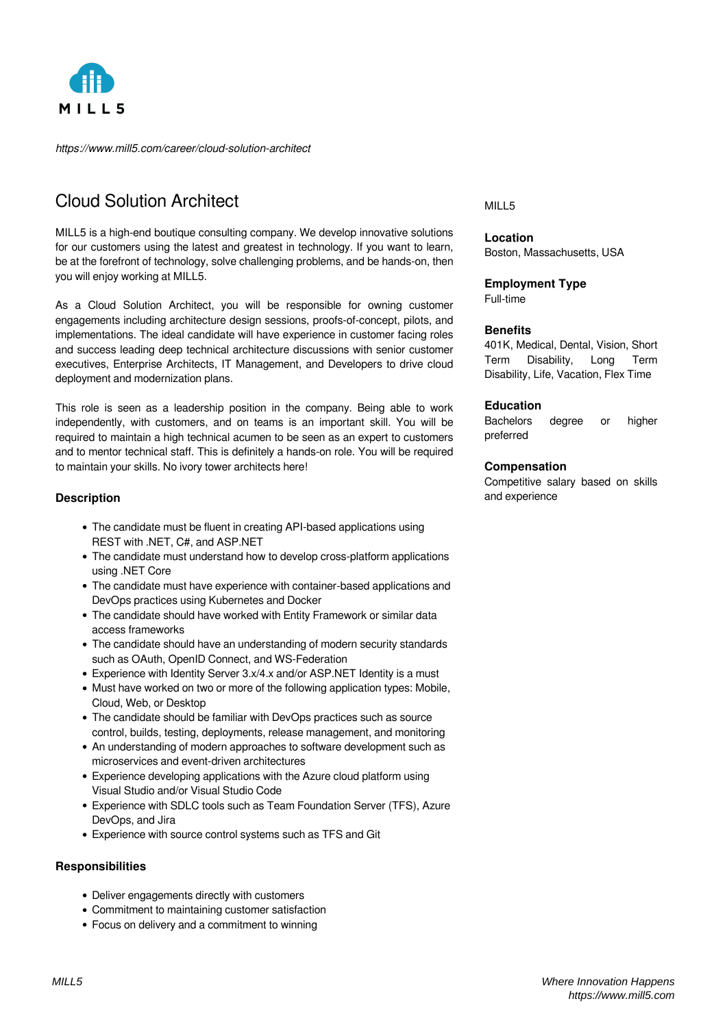

*https://www.mill5.com/career/cloud-solution-architect*

# Cloud Solution Architect

MILL5 is a high-end boutique consulting company. We develop innovative solutions for our customers using the latest and greatest in technology. If you want to learn, be at the forefront of technology, solve challenging problems, and be hands-on, then you will enjoy working at MILL5.

As a Cloud Solution Architect, you will be responsible for owning customer engagements including architecture design sessions, proofs-of-concept, pilots, and implementations. The ideal candidate will have experience in customer facing roles and success leading deep technical architecture discussions with senior customer executives, Enterprise Architects, IT Management, and Developers to drive cloud deployment and modernization plans.

This role is seen as a leadership position in the company. Being able to work independently, with customers, and on teams is an important skill. You will be required to maintain a high technical acumen to be seen as an expert to customers and to mentor technical staff. This is definitely a hands-on role. You will be required to maintain your skills. No ivory tower architects here!

# **Description**

- The candidate must be fluent in creating API-based applications using REST with .NET, C#, and ASP.NET
- The candidate must understand how to develop cross-platform applications using .NET Core
- The candidate must have experience with container-based applications and DevOps practices using Kubernetes and Docker
- The candidate should have worked with Entity Framework or similar data access frameworks
- The candidate should have an understanding of modern security standards such as OAuth, OpenID Connect, and WS-Federation
- Experience with Identity Server 3.x/4.x and/or ASP.NET Identity is a must
- Must have worked on two or more of the following application types: Mobile, Cloud, Web, or Desktop
- The candidate should be familiar with DevOps practices such as source control, builds, testing, deployments, release management, and monitoring
- An understanding of modern approaches to software development such as microservices and event-driven architectures
- Experience developing applications with the Azure cloud platform using Visual Studio and/or Visual Studio Code
- Experience with SDLC tools such as Team Foundation Server (TFS), Azure DevOps, and Jira
- Experience with source control systems such as TFS and Git

## **Responsibilities**

- Deliver engagements directly with customers
- Commitment to maintaining customer satisfaction
- Focus on delivery and a commitment to winning

### MILL5

**Location** Boston, Massachusetts, USA

## **Employment Type**

Full-time

#### **Benefits**

401K, Medical, Dental, Vision, Short Term Disability, Long Term Disability, Life, Vacation, Flex Time

#### **Education**

Bachelors degree or higher preferred

#### **Compensation**

Competitive salary based on skills and experience